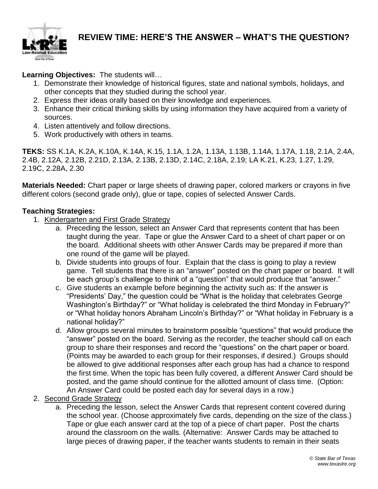

#### **REVIEW TIME: HERE'S THE ANSWER – WHAT'S THE QUESTION?**

**Learning Objectives:** The students will…

- 1. Demonstrate their knowledge of historical figures, state and national symbols, holidays, and other concepts that they studied during the school year.
- 2. Express their ideas orally based on their knowledge and experiences.
- 3. Enhance their critical thinking skills by using information they have acquired from a variety of sources.
- 4. Listen attentively and follow directions.
- 5. Work productively with others in teams.

**TEKS:** SS K.1A, K.2A, K.10A, K.14A, K.15, 1.1A, 1.2A, 1.13A, 1.13B, 1.14A, 1.17A, 1.18, 2.1A, 2.4A, 2.4B, 2.12A, 2.12B, 2.21D, 2.13A, 2.13B, 2.13D, 2.14C, 2.18A, 2.19; LA K.21, K.23, 1.27, 1.29, 2.19C, 2.28A, 2.30

**Materials Needed:** Chart paper or large sheets of drawing paper, colored markers or crayons in five different colors (second grade only), glue or tape, copies of selected Answer Cards.

#### **Teaching Strategies:**

- 1. Kindergarten and First Grade Strategy
	- a. Preceding the lesson, select an Answer Card that represents content that has been taught during the year. Tape or glue the Answer Card to a sheet of chart paper or on the board. Additional sheets with other Answer Cards may be prepared if more than one round of the game will be played.
	- b. Divide students into groups of four. Explain that the class is going to play a review game. Tell students that there is an "answer" posted on the chart paper or board. It will be each group's challenge to think of a "question" that would produce that "answer."
	- c. Give students an example before beginning the activity such as: If the answer is "Presidents' Day," the question could be "What is the holiday that celebrates George Washington's Birthday?" or "What holiday is celebrated the third Monday in February?" or "What holiday honors Abraham Lincoln's Birthday?" or "What holiday in February is a national holiday?"
	- d. Allow groups several minutes to brainstorm possible "questions" that would produce the "answer" posted on the board. Serving as the recorder, the teacher should call on each group to share their responses and record the "questions" on the chart paper or board. (Points may be awarded to each group for their responses, if desired.) Groups should be allowed to give additional responses after each group has had a chance to respond the first time. When the topic has been fully covered, a different Answer Card should be posted, and the game should continue for the allotted amount of class time. (Option: An Answer Card could be posted each day for several days in a row.)
- 2. Second Grade Strategy
	- a. Preceding the lesson, select the Answer Cards that represent content covered during the school year. (Choose approximately five cards, depending on the size of the class.) Tape or glue each answer card at the top of a piece of chart paper. Post the charts around the classroom on the walls. (Alternative: Answer Cards may be attached to large pieces of drawing paper, if the teacher wants students to remain in their seats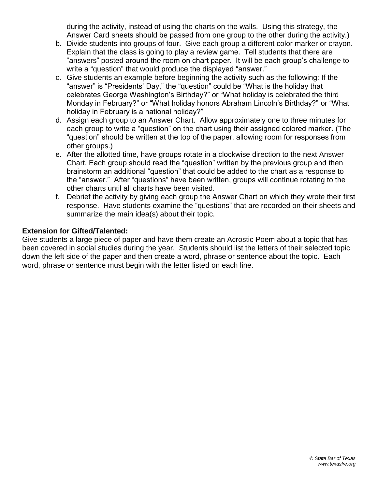during the activity, instead of using the charts on the walls. Using this strategy, the Answer Card sheets should be passed from one group to the other during the activity.)

- b. Divide students into groups of four. Give each group a different color marker or crayon. Explain that the class is going to play a review game. Tell students that there are "answers" posted around the room on chart paper. It will be each group's challenge to write a "question" that would produce the displayed "answer."
- c. Give students an example before beginning the activity such as the following: If the "answer" is "Presidents' Day," the "question" could be "What is the holiday that celebrates George Washington's Birthday?" or "What holiday is celebrated the third Monday in February?" or "What holiday honors Abraham Lincoln's Birthday?" or "What holiday in February is a national holiday?"
- d. Assign each group to an Answer Chart. Allow approximately one to three minutes for each group to write a "question" on the chart using their assigned colored marker. (The "question" should be written at the top of the paper, allowing room for responses from other groups.)
- e. After the allotted time, have groups rotate in a clockwise direction to the next Answer Chart. Each group should read the "question" written by the previous group and then brainstorm an additional "question" that could be added to the chart as a response to the "answer." After "questions" have been written, groups will continue rotating to the other charts until all charts have been visited.
- f. Debrief the activity by giving each group the Answer Chart on which they wrote their first response. Have students examine the "questions" that are recorded on their sheets and summarize the main idea(s) about their topic.

#### **Extension for Gifted/Talented:**

Give students a large piece of paper and have them create an Acrostic Poem about a topic that has been covered in social studies during the year. Students should list the letters of their selected topic down the left side of the paper and then create a word, phrase or sentence about the topic. Each word, phrase or sentence must begin with the letter listed on each line.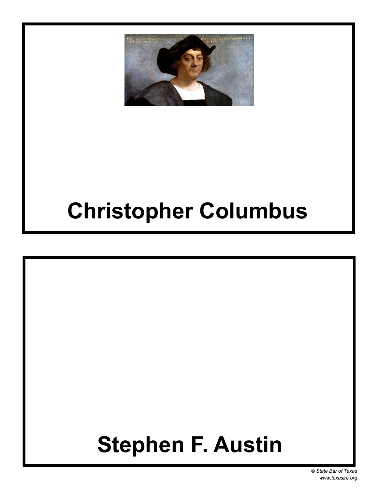# **Christopher Columbus**

# **Stephen F. Austin**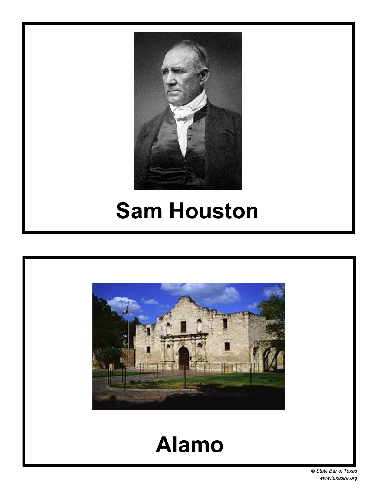

#### **Sam Houston**



#### **Alamo**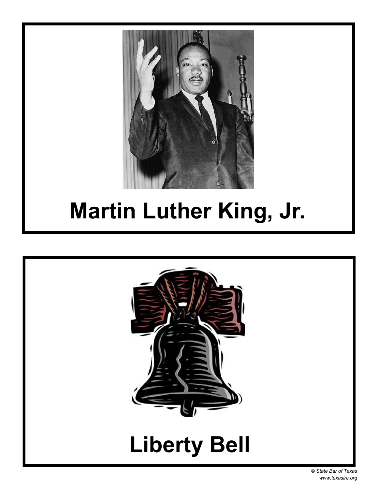

# **Martin Luther King, Jr.**

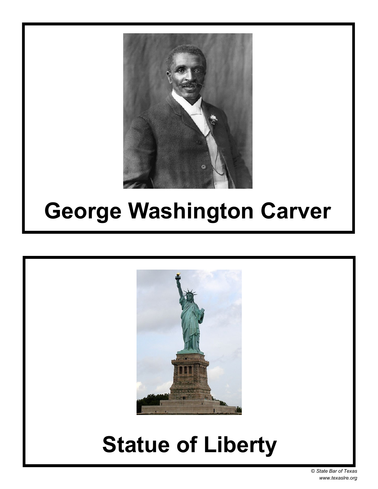

### **George Washington Carver**



# **Statue of Liberty**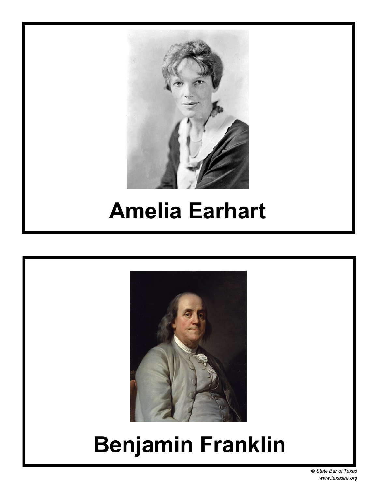

### **Amelia Earhart**



# **Benjamin Franklin**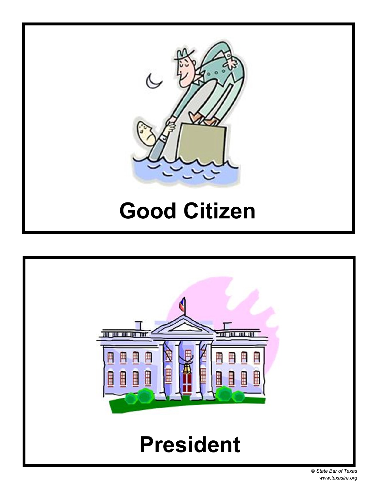

### **Good Citizen**

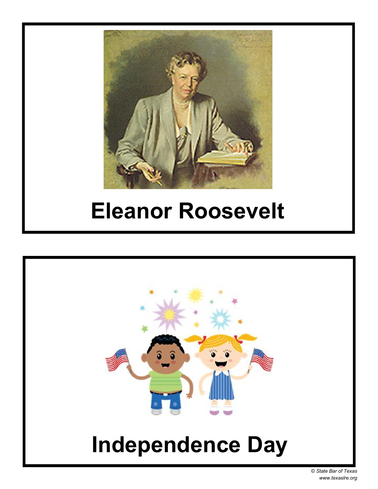

#### **Eleanor Roosevelt**

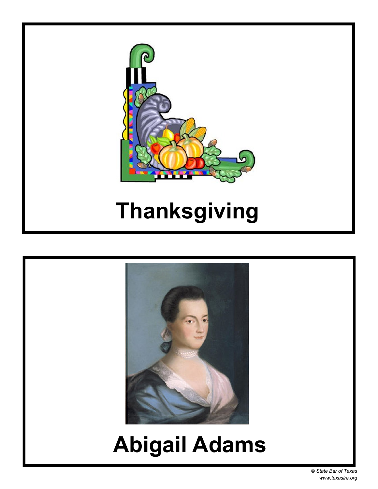© *State Bar of Texas www.texaslre.org*

### **Abigail Adams**





# **Thanksgiving**